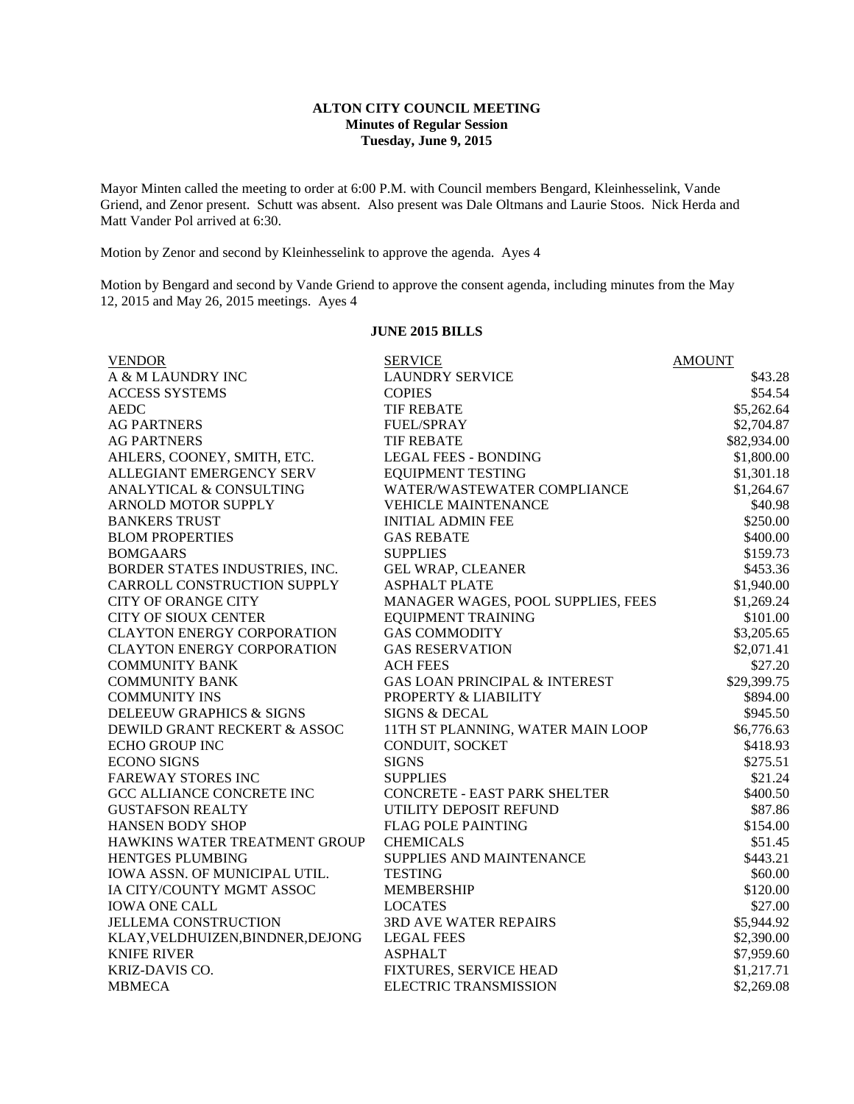## **ALTON CITY COUNCIL MEETING Minutes of Regular Session Tuesday, June 9, 2015**

Mayor Minten called the meeting to order at 6:00 P.M. with Council members Bengard, Kleinhesselink, Vande Griend, and Zenor present. Schutt was absent. Also present was Dale Oltmans and Laurie Stoos. Nick Herda and Matt Vander Pol arrived at 6:30.

Motion by Zenor and second by Kleinhesselink to approve the agenda. Ayes 4

Motion by Bengard and second by Vande Griend to approve the consent agenda, including minutes from the May 12, 2015 and May 26, 2015 meetings. Ayes 4

## **JUNE 2015 BILLS**

| <b>VENDOR</b>                     | <b>SERVICE</b>                      | <b>AMOUNT</b> |
|-----------------------------------|-------------------------------------|---------------|
| A & M LAUNDRY INC                 | <b>LAUNDRY SERVICE</b>              | \$43.28       |
| <b>ACCESS SYSTEMS</b>             | <b>COPIES</b>                       | \$54.54       |
| <b>AEDC</b>                       | <b>TIF REBATE</b>                   | \$5,262.64    |
| <b>AG PARTNERS</b>                | <b>FUEL/SPRAY</b>                   | \$2,704.87    |
| <b>AG PARTNERS</b>                | <b>TIF REBATE</b>                   | \$82,934.00   |
| AHLERS, COONEY, SMITH, ETC.       | <b>LEGAL FEES - BONDING</b>         | \$1,800.00    |
| ALLEGIANT EMERGENCY SERV          | <b>EQUIPMENT TESTING</b>            | \$1,301.18    |
| ANALYTICAL & CONSULTING           | WATER/WASTEWATER COMPLIANCE         | \$1,264.67    |
| ARNOLD MOTOR SUPPLY               | <b>VEHICLE MAINTENANCE</b>          | \$40.98       |
| <b>BANKERS TRUST</b>              | <b>INITIAL ADMIN FEE</b>            | \$250.00      |
| <b>BLOM PROPERTIES</b>            | <b>GAS REBATE</b>                   | \$400.00      |
| <b>BOMGAARS</b>                   | <b>SUPPLIES</b>                     | \$159.73      |
| BORDER STATES INDUSTRIES, INC.    | <b>GEL WRAP, CLEANER</b>            | \$453.36      |
| CARROLL CONSTRUCTION SUPPLY       | <b>ASPHALT PLATE</b>                | \$1,940.00    |
| <b>CITY OF ORANGE CITY</b>        | MANAGER WAGES, POOL SUPPLIES, FEES  | \$1,269.24    |
| <b>CITY OF SIOUX CENTER</b>       | <b>EQUIPMENT TRAINING</b>           | \$101.00      |
| <b>CLAYTON ENERGY CORPORATION</b> | <b>GAS COMMODITY</b>                | \$3,205.65    |
| <b>CLAYTON ENERGY CORPORATION</b> | <b>GAS RESERVATION</b>              | \$2,071.41    |
| <b>COMMUNITY BANK</b>             | <b>ACH FEES</b>                     | \$27.20       |
| <b>COMMUNITY BANK</b>             | GAS LOAN PRINCIPAL & INTEREST       | \$29,399.75   |
| <b>COMMUNITY INS</b>              | PROPERTY & LIABILITY                | \$894.00      |
| DELEEUW GRAPHICS & SIGNS          | <b>SIGNS &amp; DECAL</b>            | \$945.50      |
| DEWILD GRANT RECKERT & ASSOC      | 11TH ST PLANNING, WATER MAIN LOOP   | \$6,776.63    |
| <b>ECHO GROUP INC</b>             | CONDUIT, SOCKET                     | \$418.93      |
| <b>ECONO SIGNS</b>                | <b>SIGNS</b>                        | \$275.51      |
| <b>FAREWAY STORES INC</b>         | <b>SUPPLIES</b>                     | \$21.24       |
| GCC ALLIANCE CONCRETE INC         | <b>CONCRETE - EAST PARK SHELTER</b> | \$400.50      |
| <b>GUSTAFSON REALTY</b>           | UTILITY DEPOSIT REFUND              | \$87.86       |
| <b>HANSEN BODY SHOP</b>           | <b>FLAG POLE PAINTING</b>           | \$154.00      |
| HAWKINS WATER TREATMENT GROUP     | <b>CHEMICALS</b>                    | \$51.45       |
| HENTGES PLUMBING                  | SUPPLIES AND MAINTENANCE            | \$443.21      |
| IOWA ASSN. OF MUNICIPAL UTIL.     | <b>TESTING</b>                      | \$60.00       |
| IA CITY/COUNTY MGMT ASSOC         | <b>MEMBERSHIP</b>                   | \$120.00      |
| <b>IOWA ONE CALL</b>              | <b>LOCATES</b>                      | \$27.00       |
| <b>JELLEMA CONSTRUCTION</b>       | 3RD AVE WATER REPAIRS               | \$5,944.92    |
| KLAY, VELDHUIZEN, BINDNER, DEJONG | <b>LEGAL FEES</b>                   | \$2,390.00    |
| <b>KNIFE RIVER</b>                | <b>ASPHALT</b>                      | \$7,959.60    |
| KRIZ-DAVIS CO.                    | FIXTURES, SERVICE HEAD              | \$1,217.71    |
| <b>MBMECA</b>                     | <b>ELECTRIC TRANSMISSION</b>        | \$2,269.08    |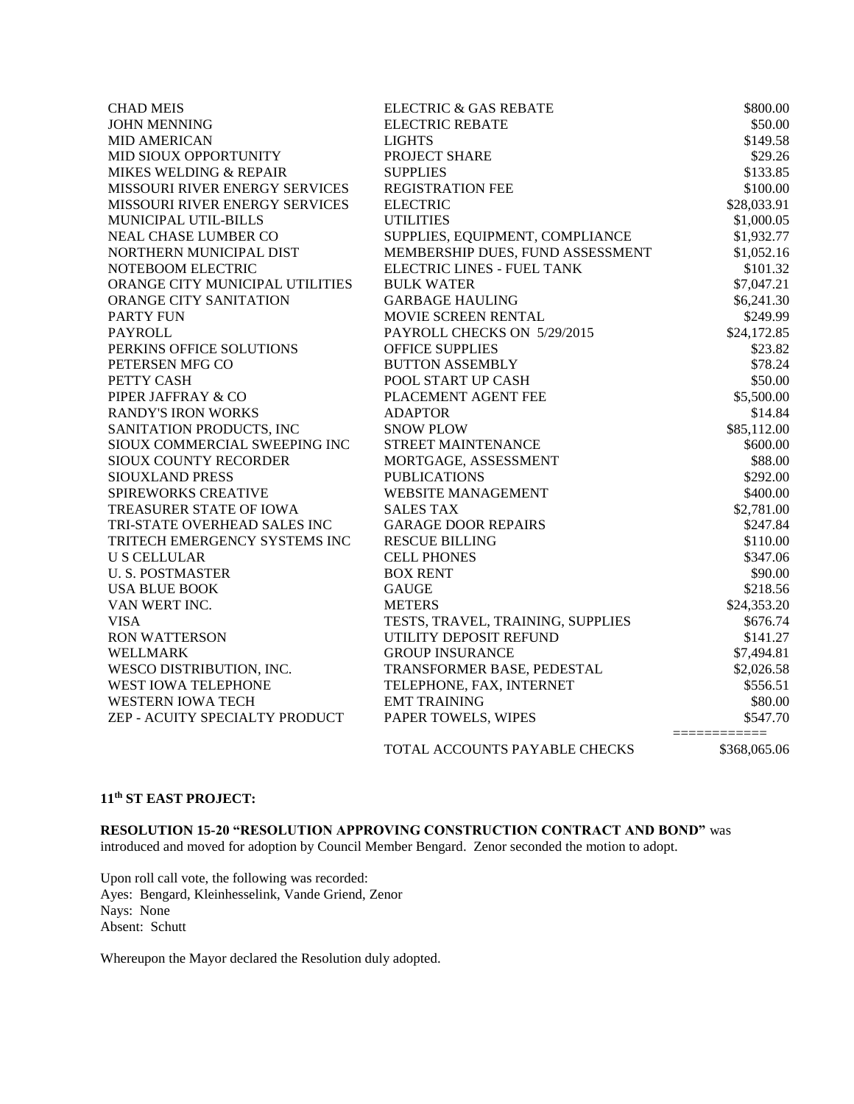| <b>CHAD MEIS</b>                | <b>ELECTRIC &amp; GAS REBATE</b>  | \$800.00     |
|---------------------------------|-----------------------------------|--------------|
| <b>JOHN MENNING</b>             | <b>ELECTRIC REBATE</b>            | \$50.00      |
| <b>MID AMERICAN</b>             | <b>LIGHTS</b>                     | \$149.58     |
| MID SIOUX OPPORTUNITY           | PROJECT SHARE                     | \$29.26      |
| MIKES WELDING & REPAIR          | <b>SUPPLIES</b>                   | \$133.85     |
| MISSOURI RIVER ENERGY SERVICES  | <b>REGISTRATION FEE</b>           | \$100.00     |
| MISSOURI RIVER ENERGY SERVICES  | <b>ELECTRIC</b>                   | \$28,033.91  |
| MUNICIPAL UTIL-BILLS            | <b>UTILITIES</b>                  | \$1,000.05   |
| NEAL CHASE LUMBER CO            | SUPPLIES, EQUIPMENT, COMPLIANCE   | \$1,932.77   |
| NORTHERN MUNICIPAL DIST         | MEMBERSHIP DUES, FUND ASSESSMENT  | \$1,052.16   |
| NOTEBOOM ELECTRIC               | ELECTRIC LINES - FUEL TANK        | \$101.32     |
| ORANGE CITY MUNICIPAL UTILITIES | <b>BULK WATER</b>                 | \$7,047.21   |
| ORANGE CITY SANITATION          | <b>GARBAGE HAULING</b>            | \$6,241.30   |
| <b>PARTY FUN</b>                | MOVIE SCREEN RENTAL               | \$249.99     |
| <b>PAYROLL</b>                  | PAYROLL CHECKS ON 5/29/2015       | \$24,172.85  |
| PERKINS OFFICE SOLUTIONS        | <b>OFFICE SUPPLIES</b>            | \$23.82      |
| PETERSEN MFG CO                 | <b>BUTTON ASSEMBLY</b>            | \$78.24      |
| PETTY CASH                      | POOL START UP CASH                | \$50.00      |
| PIPER JAFFRAY & CO              | PLACEMENT AGENT FEE               | \$5,500.00   |
| <b>RANDY'S IRON WORKS</b>       | <b>ADAPTOR</b>                    | \$14.84      |
| SANITATION PRODUCTS, INC        | <b>SNOW PLOW</b>                  | \$85,112.00  |
| SIOUX COMMERCIAL SWEEPING INC   | STREET MAINTENANCE                | \$600.00     |
| SIOUX COUNTY RECORDER           | MORTGAGE, ASSESSMENT              | \$88.00      |
| SIOUXLAND PRESS                 | <b>PUBLICATIONS</b>               | \$292.00     |
| SPIREWORKS CREATIVE             | <b>WEBSITE MANAGEMENT</b>         | \$400.00     |
| TREASURER STATE OF IOWA         | <b>SALES TAX</b>                  | \$2,781.00   |
| TRI-STATE OVERHEAD SALES INC    | <b>GARAGE DOOR REPAIRS</b>        | \$247.84     |
| TRITECH EMERGENCY SYSTEMS INC   | <b>RESCUE BILLING</b>             | \$110.00     |
| <b>U S CELLULAR</b>             | <b>CELL PHONES</b>                | \$347.06     |
| <b>U. S. POSTMASTER</b>         | <b>BOX RENT</b>                   | \$90.00      |
| <b>USA BLUE BOOK</b>            | <b>GAUGE</b>                      | \$218.56     |
| VAN WERT INC.                   | <b>METERS</b>                     | \$24,353.20  |
| <b>VISA</b>                     | TESTS, TRAVEL, TRAINING, SUPPLIES | \$676.74     |
| <b>RON WATTERSON</b>            | UTILITY DEPOSIT REFUND            | \$141.27     |
| <b>WELLMARK</b>                 | <b>GROUP INSURANCE</b>            | \$7,494.81   |
| WESCO DISTRIBUTION, INC.        | TRANSFORMER BASE, PEDESTAL        | \$2,026.58   |
| WEST IOWA TELEPHONE             | TELEPHONE, FAX, INTERNET          | \$556.51     |
| <b>WESTERN IOWA TECH</b>        | <b>EMT TRAINING</b>               | \$80.00      |
| ZEP - ACUITY SPECIALTY PRODUCT  | PAPER TOWELS, WIPES               | \$547.70     |
|                                 | TOTAL ACCOUNTS PAYABLE CHECKS     | \$368,065.06 |

## **11th ST EAST PROJECT:**

**RESOLUTION 15-20 "RESOLUTION APPROVING CONSTRUCTION CONTRACT AND BOND"** was introduced and moved for adoption by Council Member Bengard. Zenor seconded the motion to adopt.

Upon roll call vote, the following was recorded: Ayes: Bengard, Kleinhesselink, Vande Griend, Zenor Nays: None Absent: Schutt

Whereupon the Mayor declared the Resolution duly adopted.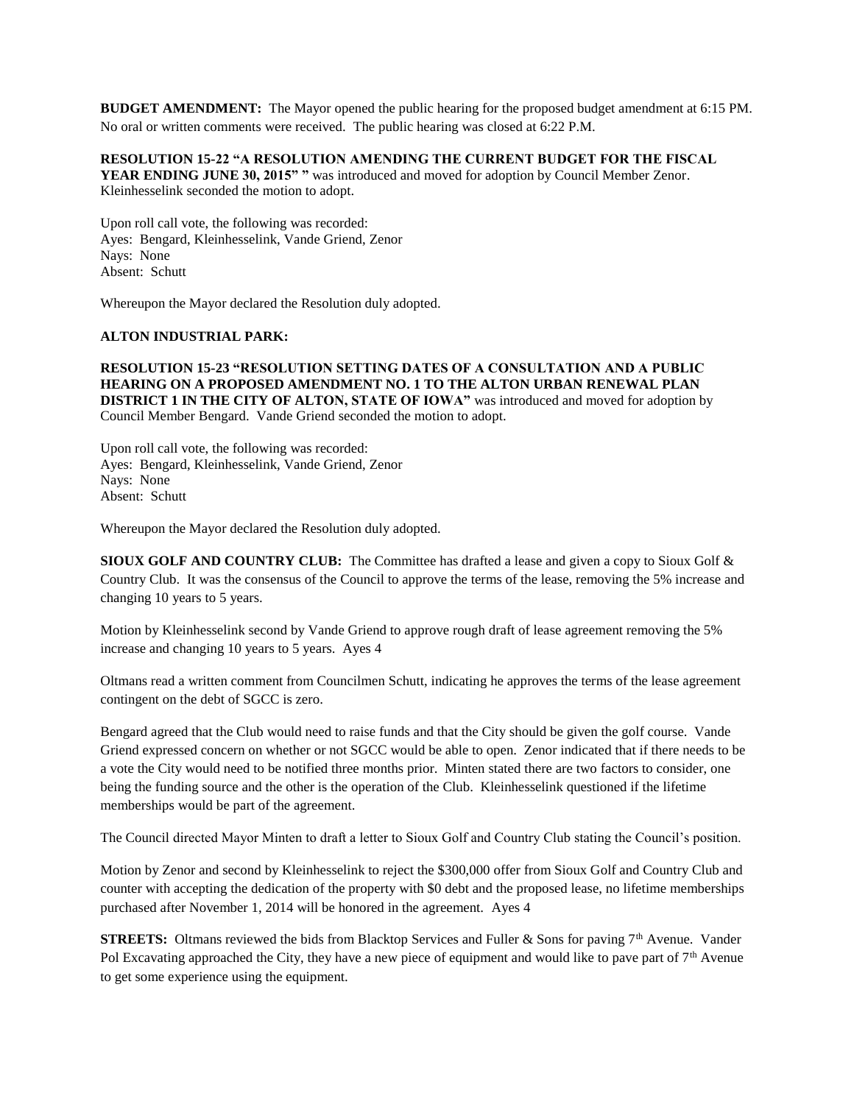**BUDGET AMENDMENT:** The Mayor opened the public hearing for the proposed budget amendment at 6:15 PM. No oral or written comments were received. The public hearing was closed at 6:22 P.M.

**RESOLUTION 15-22 "A RESOLUTION AMENDING THE CURRENT BUDGET FOR THE FISCAL YEAR ENDING JUNE 30, 2015" "** was introduced and moved for adoption by Council Member Zenor. Kleinhesselink seconded the motion to adopt.

Upon roll call vote, the following was recorded: Ayes: Bengard, Kleinhesselink, Vande Griend, Zenor Nays: None Absent: Schutt

Whereupon the Mayor declared the Resolution duly adopted.

#### **ALTON INDUSTRIAL PARK:**

**RESOLUTION 15-23 "RESOLUTION SETTING DATES OF A CONSULTATION AND A PUBLIC HEARING ON A PROPOSED AMENDMENT NO. 1 TO THE ALTON URBAN RENEWAL PLAN DISTRICT 1 IN THE CITY OF ALTON, STATE OF IOWA"** was introduced and moved for adoption by Council Member Bengard. Vande Griend seconded the motion to adopt.

Upon roll call vote, the following was recorded: Ayes: Bengard, Kleinhesselink, Vande Griend, Zenor Nays: None Absent: Schutt

Whereupon the Mayor declared the Resolution duly adopted.

**SIOUX GOLF AND COUNTRY CLUB:** The Committee has drafted a lease and given a copy to Sioux Golf & Country Club. It was the consensus of the Council to approve the terms of the lease, removing the 5% increase and changing 10 years to 5 years.

Motion by Kleinhesselink second by Vande Griend to approve rough draft of lease agreement removing the 5% increase and changing 10 years to 5 years. Ayes 4

Oltmans read a written comment from Councilmen Schutt, indicating he approves the terms of the lease agreement contingent on the debt of SGCC is zero.

Bengard agreed that the Club would need to raise funds and that the City should be given the golf course. Vande Griend expressed concern on whether or not SGCC would be able to open. Zenor indicated that if there needs to be a vote the City would need to be notified three months prior. Minten stated there are two factors to consider, one being the funding source and the other is the operation of the Club. Kleinhesselink questioned if the lifetime memberships would be part of the agreement.

The Council directed Mayor Minten to draft a letter to Sioux Golf and Country Club stating the Council's position.

Motion by Zenor and second by Kleinhesselink to reject the \$300,000 offer from Sioux Golf and Country Club and counter with accepting the dedication of the property with \$0 debt and the proposed lease, no lifetime memberships purchased after November 1, 2014 will be honored in the agreement. Ayes 4

**STREETS:** Oltmans reviewed the bids from Blacktop Services and Fuller & Sons for paving 7<sup>th</sup> Avenue. Vander Pol Excavating approached the City, they have a new piece of equipment and would like to pave part of 7<sup>th</sup> Avenue to get some experience using the equipment.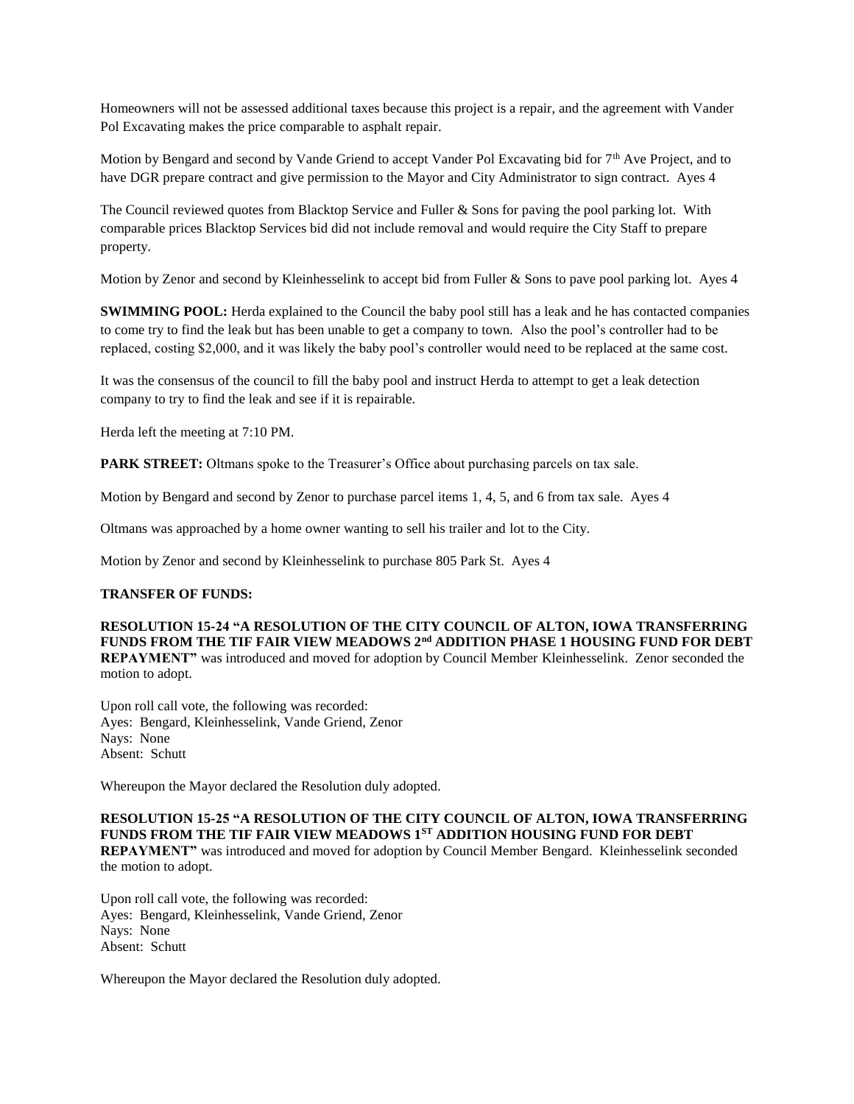Homeowners will not be assessed additional taxes because this project is a repair, and the agreement with Vander Pol Excavating makes the price comparable to asphalt repair.

Motion by Bengard and second by Vande Griend to accept Vander Pol Excavating bid for  $7<sup>th</sup>$  Ave Project, and to have DGR prepare contract and give permission to the Mayor and City Administrator to sign contract. Ayes 4

The Council reviewed quotes from Blacktop Service and Fuller & Sons for paving the pool parking lot. With comparable prices Blacktop Services bid did not include removal and would require the City Staff to prepare property.

Motion by Zenor and second by Kleinhesselink to accept bid from Fuller & Sons to pave pool parking lot. Ayes 4

**SWIMMING POOL:** Herda explained to the Council the baby pool still has a leak and he has contacted companies to come try to find the leak but has been unable to get a company to town. Also the pool's controller had to be replaced, costing \$2,000, and it was likely the baby pool's controller would need to be replaced at the same cost.

It was the consensus of the council to fill the baby pool and instruct Herda to attempt to get a leak detection company to try to find the leak and see if it is repairable.

Herda left the meeting at 7:10 PM.

**PARK STREET:** Oltmans spoke to the Treasurer's Office about purchasing parcels on tax sale.

Motion by Bengard and second by Zenor to purchase parcel items 1, 4, 5, and 6 from tax sale. Ayes 4

Oltmans was approached by a home owner wanting to sell his trailer and lot to the City.

Motion by Zenor and second by Kleinhesselink to purchase 805 Park St. Ayes 4

#### **TRANSFER OF FUNDS:**

**RESOLUTION 15-24 "A RESOLUTION OF THE CITY COUNCIL OF ALTON, IOWA TRANSFERRING FUNDS FROM THE TIF FAIR VIEW MEADOWS 2nd ADDITION PHASE 1 HOUSING FUND FOR DEBT REPAYMENT"** was introduced and moved for adoption by Council Member Kleinhesselink. Zenor seconded the motion to adopt.

Upon roll call vote, the following was recorded: Ayes: Bengard, Kleinhesselink, Vande Griend, Zenor Nays: None Absent: Schutt

Whereupon the Mayor declared the Resolution duly adopted.

# **RESOLUTION 15-25 "A RESOLUTION OF THE CITY COUNCIL OF ALTON, IOWA TRANSFERRING FUNDS FROM THE TIF FAIR VIEW MEADOWS 1ST ADDITION HOUSING FUND FOR DEBT**

**REPAYMENT"** was introduced and moved for adoption by Council Member Bengard. Kleinhesselink seconded the motion to adopt.

Upon roll call vote, the following was recorded: Ayes: Bengard, Kleinhesselink, Vande Griend, Zenor Nays: None Absent: Schutt

Whereupon the Mayor declared the Resolution duly adopted.